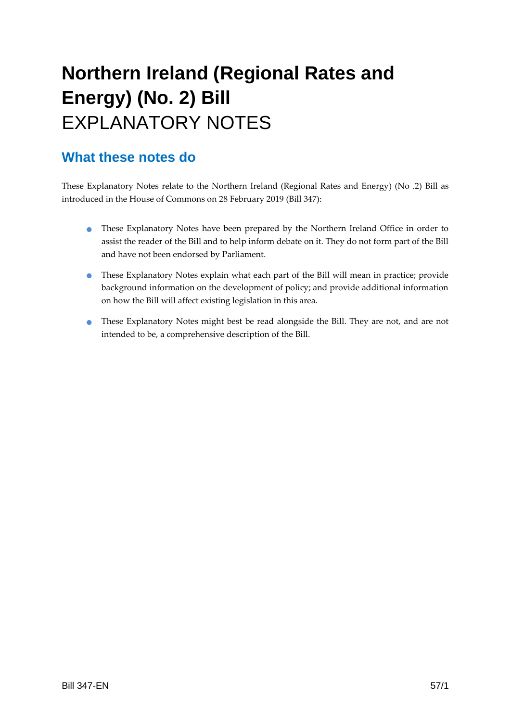# **Northern Ireland (Regional Rates and Energy) (No. 2) Bill**  EXPLANATORY NOTES

#### **What these notes do**

- These Explanatory Notes have been prepared by the Northern Ireland Office in order to assist the reader of the Bill and to help inform debate on it. They do not form part of the Bill and have not been endorsed by Parliament.
- These Explanatory Notes explain what each part of the Bill will mean in practice; provide background information on the development of policy; and provide additional information on how the Bill will affect existing legislation in this area.
- These Explanatory Notes might best be read alongside the Bill. They are not, and are not intended to be, a comprehensive description of the Bill.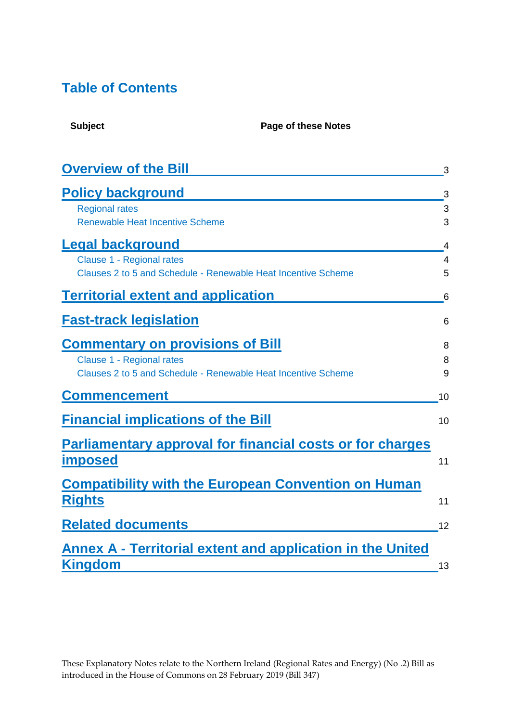### **Table of Contents**

| <b>Overview of the Bill</b>                                   | 3              |
|---------------------------------------------------------------|----------------|
| <b>Policy background</b>                                      | 3              |
| <b>Regional rates</b>                                         | 3              |
| <b>Renewable Heat Incentive Scheme</b>                        | 3              |
| <b>Legal background</b>                                       | 4              |
| <b>Clause 1 - Regional rates</b>                              | $\overline{4}$ |
| Clauses 2 to 5 and Schedule - Renewable Heat Incentive Scheme | 5              |
| <b>Territorial extent and application</b>                     | 6              |
| <b>Fast-track legislation</b>                                 | 6              |
| <b>Commentary on provisions of Bill</b>                       | 8              |
| <b>Clause 1 - Regional rates</b>                              | 8              |
| Clauses 2 to 5 and Schedule - Renewable Heat Incentive Scheme | 9              |
| <b>Commencement</b>                                           | 10             |
| <b>Financial implications of the Bill</b>                     | 10             |
| Parliamentary approval for financial costs or for charges     |                |
| <b>imposed</b>                                                | 11             |
| <b>Compatibility with the European Convention on Human</b>    |                |
| <b>Rights</b>                                                 | 11             |
| <b>Related documents</b>                                      | 12             |
| Annex A - Territorial extent and application in the United    |                |
| <b>Kingdom</b>                                                | 13             |

**Subject Page of these Notes**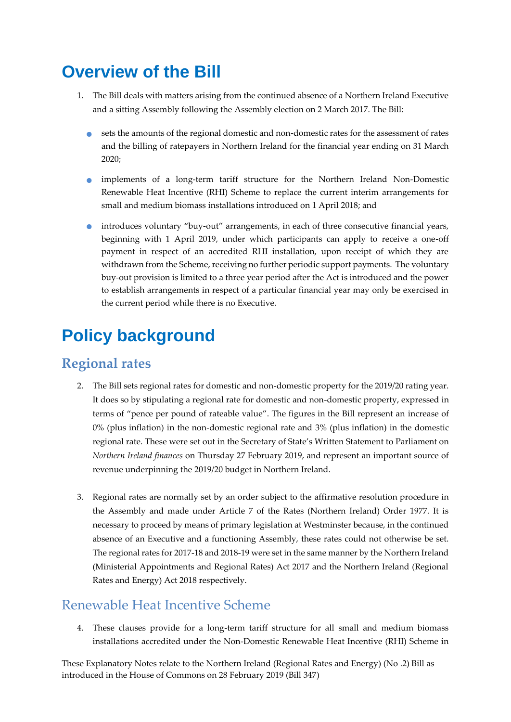### <span id="page-2-0"></span>**Overview of the Bill**

- 1. The Bill deals with matters arising from the continued absence of a Northern Ireland Executive and a sitting Assembly following the Assembly election on 2 March 2017. The Bill:
	- sets the amounts of the regional domestic and non-domestic rates for the assessment of rates and the billing of ratepayers in Northern Ireland for the financial year ending on 31 March 2020;
	- implements of a long-term tariff structure for the Northern Ireland Non-Domestic Renewable Heat Incentive (RHI) Scheme to replace the current interim arrangements for small and medium biomass installations introduced on 1 April 2018; and
	- introduces voluntary "buy-out" arrangements, in each of three consecutive financial years, beginning with 1 April 2019, under which participants can apply to receive a one-off payment in respect of an accredited RHI installation, upon receipt of which they are withdrawn from the Scheme, receiving no further periodic support payments. The voluntary buy-out provision is limited to a three year period after the Act is introduced and the power to establish arrangements in respect of a particular financial year may only be exercised in the current period while there is no Executive.

# <span id="page-2-1"></span>**Policy background**

#### <span id="page-2-2"></span>**Regional rates**

- 2. The Bill sets regional rates for domestic and non-domestic property for the 2019/20 rating year. It does so by stipulating a regional rate for domestic and non-domestic property, expressed in terms of "pence per pound of rateable value". The figures in the Bill represent an increase of 0% (plus inflation) in the non-domestic regional rate and 3% (plus inflation) in the domestic regional rate. These were set out in the Secretary of State's Written Statement to Parliament on *Northern Ireland finances* on Thursday 27 February 2019, and represent an important source of revenue underpinning the 2019/20 budget in Northern Ireland.
- 3. Regional rates are normally set by an order subject to the affirmative resolution procedure in the Assembly and made under Article 7 of the Rates (Northern Ireland) Order 1977. It is necessary to proceed by means of primary legislation at Westminster because, in the continued absence of an Executive and a functioning Assembly, these rates could not otherwise be set. The regional rates for 2017-18 and 2018-19 were set in the same manner by the Northern Ireland (Ministerial Appointments and Regional Rates) Act 2017 and the Northern Ireland (Regional Rates and Energy) Act 2018 respectively.

### <span id="page-2-3"></span>Renewable Heat Incentive Scheme

4. These clauses provide for a long-term tariff structure for all small and medium biomass installations accredited under the Non-Domestic Renewable Heat Incentive (RHI) Scheme in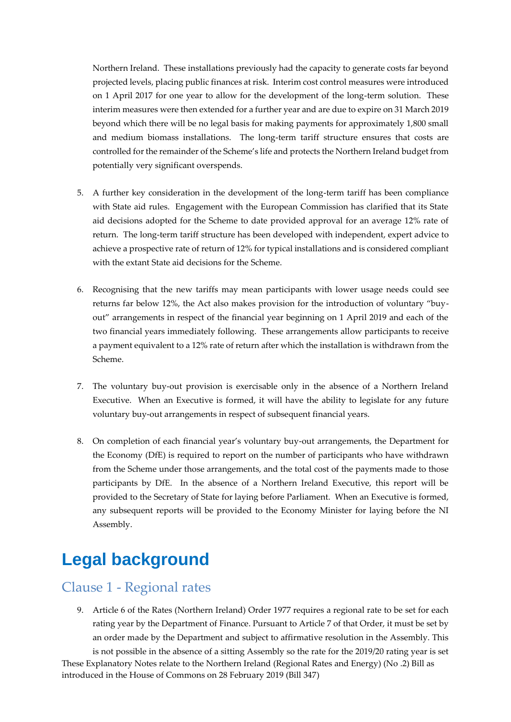Northern Ireland. These installations previously had the capacity to generate costs far beyond projected levels, placing public finances at risk. Interim cost control measures were introduced on 1 April 2017 for one year to allow for the development of the long-term solution. These interim measures were then extended for a further year and are due to expire on 31 March 2019 beyond which there will be no legal basis for making payments for approximately 1,800 small and medium biomass installations. The long-term tariff structure ensures that costs are controlled for the remainder of the Scheme's life and protects the Northern Ireland budget from potentially very significant overspends.

- 5. A further key consideration in the development of the long-term tariff has been compliance with State aid rules. Engagement with the European Commission has clarified that its State aid decisions adopted for the Scheme to date provided approval for an average 12% rate of return. The long-term tariff structure has been developed with independent, expert advice to achieve a prospective rate of return of 12% for typical installations and is considered compliant with the extant State aid decisions for the Scheme.
- 6. Recognising that the new tariffs may mean participants with lower usage needs could see returns far below 12%, the Act also makes provision for the introduction of voluntary "buyout" arrangements in respect of the financial year beginning on 1 April 2019 and each of the two financial years immediately following. These arrangements allow participants to receive a payment equivalent to a 12% rate of return after which the installation is withdrawn from the Scheme.
- 7. The voluntary buy-out provision is exercisable only in the absence of a Northern Ireland Executive. When an Executive is formed, it will have the ability to legislate for any future voluntary buy-out arrangements in respect of subsequent financial years.
- 8. On completion of each financial year's voluntary buy-out arrangements, the Department for the Economy (DfE) is required to report on the number of participants who have withdrawn from the Scheme under those arrangements, and the total cost of the payments made to those participants by DfE. In the absence of a Northern Ireland Executive, this report will be provided to the Secretary of State for laying before Parliament. When an Executive is formed, any subsequent reports will be provided to the Economy Minister for laying before the NI Assembly.

### <span id="page-3-0"></span>**Legal background**

#### <span id="page-3-1"></span>Clause 1 - Regional rates

9. Article 6 of the Rates (Northern Ireland) Order 1977 requires a regional rate to be set for each rating year by the Department of Finance. Pursuant to Article 7 of that Order, it must be set by an order made by the Department and subject to affirmative resolution in the Assembly. This

These Explanatory Notes relate to the Northern Ireland (Regional Rates and Energy) (No .2) Bill as introduced in the House of Commons on 28 February 2019 (Bill 347) is not possible in the absence of a sitting Assembly so the rate for the 2019/20 rating year is set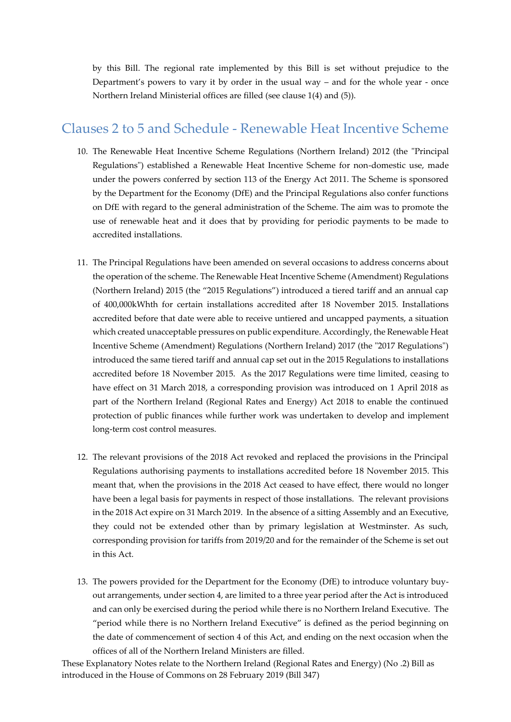by this Bill. The regional rate implemented by this Bill is set without prejudice to the Department's powers to vary it by order in the usual way – and for the whole year - once Northern Ireland Ministerial offices are filled (see clause 1(4) and (5)).

#### <span id="page-4-0"></span>Clauses 2 to 5 and Schedule - Renewable Heat Incentive Scheme

- 10. The Renewable Heat Incentive Scheme Regulations (Northern Ireland) 2012 (the "Principal Regulations") established a Renewable Heat Incentive Scheme for non-domestic use, made under the powers conferred by section 113 of the Energy Act 2011. The Scheme is sponsored by the Department for the Economy (DfE) and the Principal Regulations also confer functions on DfE with regard to the general administration of the Scheme. The aim was to promote the use of renewable heat and it does that by providing for periodic payments to be made to accredited installations.
- 11. The Principal Regulations have been amended on several occasions to address concerns about the operation of the scheme. The Renewable Heat Incentive Scheme (Amendment) Regulations (Northern Ireland) 2015 (the "2015 Regulations") introduced a tiered tariff and an annual cap of 400,000kWhth for certain installations accredited after 18 November 2015. Installations accredited before that date were able to receive untiered and uncapped payments, a situation which created unacceptable pressures on public expenditure. Accordingly, the Renewable Heat Incentive Scheme (Amendment) Regulations (Northern Ireland) 2017 (the "2017 Regulations") introduced the same tiered tariff and annual cap set out in the 2015 Regulations to installations accredited before 18 November 2015. As the 2017 Regulations were time limited, ceasing to have effect on 31 March 2018, a corresponding provision was introduced on 1 April 2018 as part of the Northern Ireland (Regional Rates and Energy) Act 2018 to enable the continued protection of public finances while further work was undertaken to develop and implement long-term cost control measures.
- 12. The relevant provisions of the 2018 Act revoked and replaced the provisions in the Principal Regulations authorising payments to installations accredited before 18 November 2015. This meant that, when the provisions in the 2018 Act ceased to have effect, there would no longer have been a legal basis for payments in respect of those installations. The relevant provisions in the 2018 Act expire on 31 March 2019. In the absence of a sitting Assembly and an Executive, they could not be extended other than by primary legislation at Westminster. As such, corresponding provision for tariffs from 2019/20 and for the remainder of the Scheme is set out in this Act.
- 13. The powers provided for the Department for the Economy (DfE) to introduce voluntary buyout arrangements, under section 4, are limited to a three year period after the Act is introduced and can only be exercised during the period while there is no Northern Ireland Executive. The "period while there is no Northern Ireland Executive" is defined as the period beginning on the date of commencement of section 4 of this Act, and ending on the next occasion when the offices of all of the Northern Ireland Ministers are filled.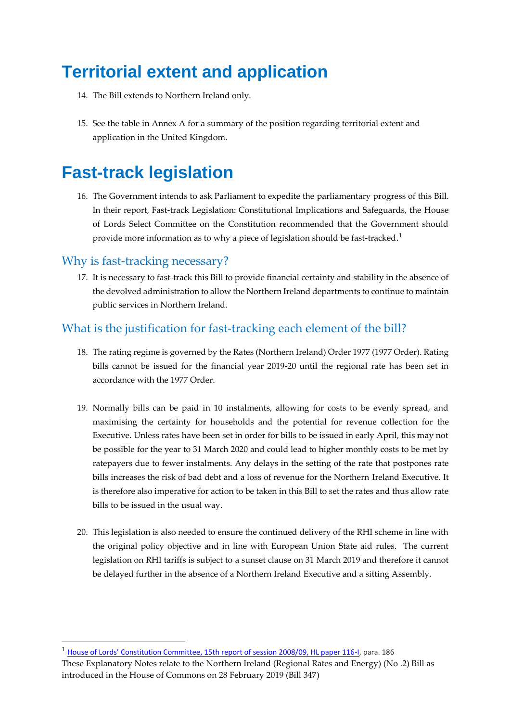## <span id="page-5-0"></span>**Territorial extent and application**

- 14. The Bill extends to Northern Ireland only.
- 15. See the table in Annex A for a summary of the position regarding territorial extent and application in the United Kingdom.

### <span id="page-5-1"></span>**Fast-track legislation**

16. The Government intends to ask Parliament to expedite the parliamentary progress of this Bill. In their report, Fast-track Legislation: Constitutional Implications and Safeguards, the House of Lords Select Committee on the Constitution recommended that the Government should provide more information as to why a piece of legislation should be fast-tracked.<sup>1</sup>

#### Why is fast-tracking necessary?

-

17. It is necessary to fast-track this Bill to provide financial certainty and stability in the absence of the devolved administration to allow the Northern Ireland departments to continue to maintain public services in Northern Ireland.

#### What is the justification for fast-tracking each element of the bill?

- 18. The rating regime is governed by the Rates (Northern Ireland) Order 1977 (1977 Order). Rating bills cannot be issued for the financial year 2019-20 until the regional rate has been set in accordance with the 1977 Order.
- 19. Normally bills can be paid in 10 instalments, allowing for costs to be evenly spread, and maximising the certainty for households and the potential for revenue collection for the Executive. Unless rates have been set in order for bills to be issued in early April, this may not be possible for the year to 31 March 2020 and could lead to higher monthly costs to be met by ratepayers due to fewer instalments. Any delays in the setting of the rate that postpones rate bills increases the risk of bad debt and a loss of revenue for the Northern Ireland Executive. It is therefore also imperative for action to be taken in this Bill to set the rates and thus allow rate bills to be issued in the usual way.
- 20. This legislation is also needed to ensure the continued delivery of the RHI scheme in line with the original policy objective and in line with European Union State aid rules. The current legislation on RHI tariffs is subject to a sunset clause on 31 March 2019 and therefore it cannot be delayed further in the absence of a Northern Ireland Executive and a sitting Assembly.

<sup>1</sup> [House of Lords' Constitution Committee, 15th report of session 2008/09, HL paper 116](http://www.publications.parliament.uk/pa/ld200809/ldselect/ldconst/116/116.pdf)-I, para. 186

These Explanatory Notes relate to the Northern Ireland (Regional Rates and Energy) (No .2) Bill as introduced in the House of Commons on 28 February 2019 (Bill 347)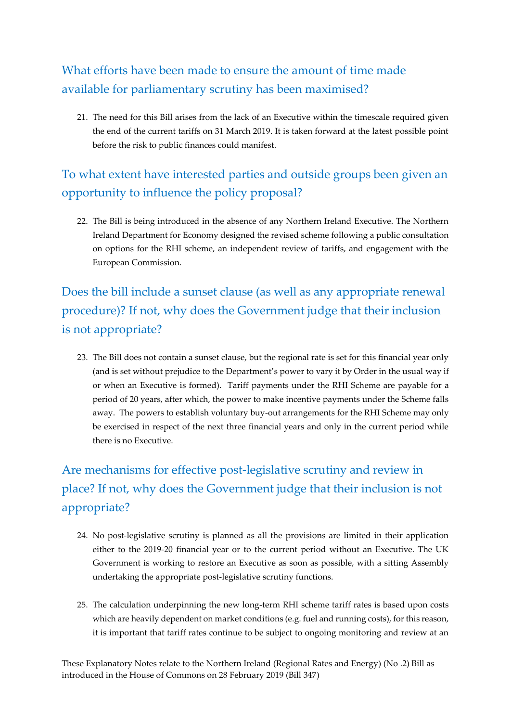### What efforts have been made to ensure the amount of time made available for parliamentary scrutiny has been maximised?

21. The need for this Bill arises from the lack of an Executive within the timescale required given the end of the current tariffs on 31 March 2019. It is taken forward at the latest possible point before the risk to public finances could manifest.

### To what extent have interested parties and outside groups been given an opportunity to influence the policy proposal?

22. The Bill is being introduced in the absence of any Northern Ireland Executive. The Northern Ireland Department for Economy designed the revised scheme following a public consultation on options for the RHI scheme, an independent review of tariffs, and engagement with the European Commission.

Does the bill include a sunset clause (as well as any appropriate renewal procedure)? If not, why does the Government judge that their inclusion is not appropriate?

23. The Bill does not contain a sunset clause, but the regional rate is set for this financial year only (and is set without prejudice to the Department's power to vary it by Order in the usual way if or when an Executive is formed). Tariff payments under the RHI Scheme are payable for a period of 20 years, after which, the power to make incentive payments under the Scheme falls away. The powers to establish voluntary buy-out arrangements for the RHI Scheme may only be exercised in respect of the next three financial years and only in the current period while there is no Executive.

### Are mechanisms for effective post-legislative scrutiny and review in place? If not, why does the Government judge that their inclusion is not appropriate?

- 24. No post-legislative scrutiny is planned as all the provisions are limited in their application either to the 2019-20 financial year or to the current period without an Executive. The UK Government is working to restore an Executive as soon as possible, with a sitting Assembly undertaking the appropriate post-legislative scrutiny functions.
- 25. The calculation underpinning the new long-term RHI scheme tariff rates is based upon costs which are heavily dependent on market conditions (e.g. fuel and running costs), for this reason, it is important that tariff rates continue to be subject to ongoing monitoring and review at an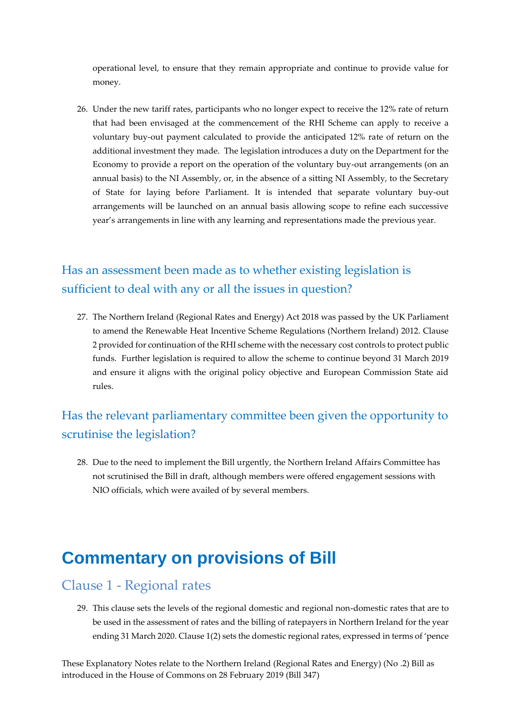operational level, to ensure that they remain appropriate and continue to provide value for money.

26. Under the new tariff rates, participants who no longer expect to receive the 12% rate of return that had been envisaged at the commencement of the RHI Scheme can apply to receive a voluntary buy-out payment calculated to provide the anticipated 12% rate of return on the additional investment they made. The legislation introduces a duty on the Department for the Economy to provide a report on the operation of the voluntary buy-out arrangements (on an annual basis) to the NI Assembly, or, in the absence of a sitting NI Assembly, to the Secretary of State for laying before Parliament. It is intended that separate voluntary buy-out arrangements will be launched on an annual basis allowing scope to refine each successive year's arrangements in line with any learning and representations made the previous year.

#### Has an assessment been made as to whether existing legislation is sufficient to deal with any or all the issues in question?

27. The Northern Ireland (Regional Rates and Energy) Act 2018 was passed by the UK Parliament to amend the Renewable Heat Incentive Scheme Regulations (Northern Ireland) 2012. Clause 2 provided for continuation of the RHI scheme with the necessary cost controls to protect public funds. Further legislation is required to allow the scheme to continue beyond 31 March 2019 and ensure it aligns with the original policy objective and European Commission State aid rules.

#### Has the relevant parliamentary committee been given the opportunity to scrutinise the legislation?

28. Due to the need to implement the Bill urgently, the Northern Ireland Affairs Committee has not scrutinised the Bill in draft, although members were offered engagement sessions with NIO officials, which were availed of by several members.

### <span id="page-7-0"></span>**Commentary on provisions of Bill**

#### <span id="page-7-1"></span>Clause 1 - Regional rates

29. This clause sets the levels of the regional domestic and regional non-domestic rates that are to be used in the assessment of rates and the billing of ratepayers in Northern Ireland for the year ending 31 March 2020. Clause 1(2) sets the domestic regional rates, expressed in terms of 'pence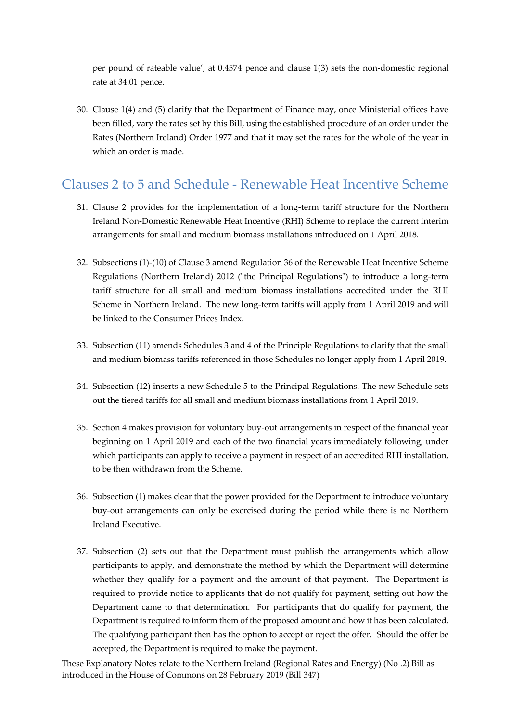per pound of rateable value', at 0.4574 pence and clause 1(3) sets the non-domestic regional rate at 34.01 pence.

30. Clause 1(4) and (5) clarify that the Department of Finance may, once Ministerial offices have been filled, vary the rates set by this Bill, using the established procedure of an order under the Rates (Northern Ireland) Order 1977 and that it may set the rates for the whole of the year in which an order is made.

#### <span id="page-8-0"></span>Clauses 2 to 5 and Schedule - Renewable Heat Incentive Scheme

- 31. Clause 2 provides for the implementation of a long-term tariff structure for the Northern Ireland Non-Domestic Renewable Heat Incentive (RHI) Scheme to replace the current interim arrangements for small and medium biomass installations introduced on 1 April 2018.
- 32. Subsections (1)-(10) of Clause 3 amend Regulation 36 of the Renewable Heat Incentive Scheme Regulations (Northern Ireland) 2012 ("the Principal Regulations") to introduce a long-term tariff structure for all small and medium biomass installations accredited under the RHI Scheme in Northern Ireland. The new long-term tariffs will apply from 1 April 2019 and will be linked to the Consumer Prices Index.
- 33. Subsection (11) amends Schedules 3 and 4 of the Principle Regulations to clarify that the small and medium biomass tariffs referenced in those Schedules no longer apply from 1 April 2019.
- 34. Subsection (12) inserts a new Schedule 5 to the Principal Regulations. The new Schedule sets out the tiered tariffs for all small and medium biomass installations from 1 April 2019.
- 35. Section 4 makes provision for voluntary buy-out arrangements in respect of the financial year beginning on 1 April 2019 and each of the two financial years immediately following, under which participants can apply to receive a payment in respect of an accredited RHI installation, to be then withdrawn from the Scheme.
- 36. Subsection (1) makes clear that the power provided for the Department to introduce voluntary buy-out arrangements can only be exercised during the period while there is no Northern Ireland Executive.
- 37. Subsection (2) sets out that the Department must publish the arrangements which allow participants to apply, and demonstrate the method by which the Department will determine whether they qualify for a payment and the amount of that payment. The Department is required to provide notice to applicants that do not qualify for payment, setting out how the Department came to that determination. For participants that do qualify for payment, the Department is required to inform them of the proposed amount and how it has been calculated. The qualifying participant then has the option to accept or reject the offer. Should the offer be accepted, the Department is required to make the payment.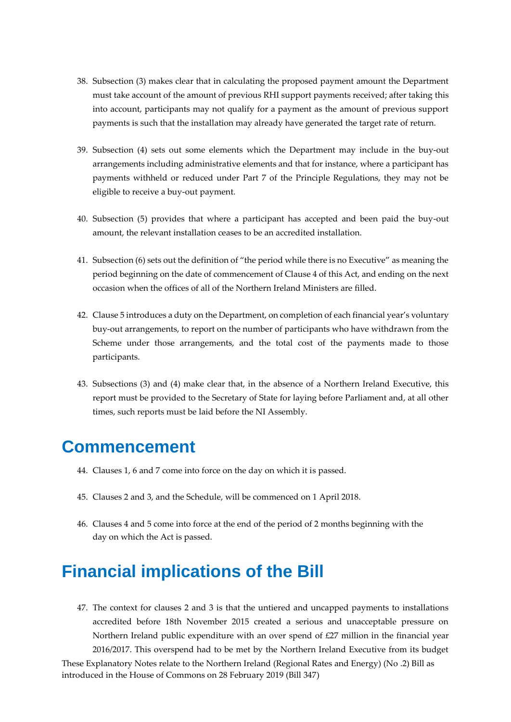- 38. Subsection (3) makes clear that in calculating the proposed payment amount the Department must take account of the amount of previous RHI support payments received; after taking this into account, participants may not qualify for a payment as the amount of previous support payments is such that the installation may already have generated the target rate of return.
- 39. Subsection (4) sets out some elements which the Department may include in the buy-out arrangements including administrative elements and that for instance, where a participant has payments withheld or reduced under Part 7 of the Principle Regulations, they may not be eligible to receive a buy-out payment.
- 40. Subsection (5) provides that where a participant has accepted and been paid the buy-out amount, the relevant installation ceases to be an accredited installation.
- 41. Subsection (6) sets out the definition of "the period while there is no Executive" as meaning the period beginning on the date of commencement of Clause 4 of this Act, and ending on the next occasion when the offices of all of the Northern Ireland Ministers are filled.
- 42. Clause 5 introduces a duty on the Department, on completion of each financial year's voluntary buy-out arrangements, to report on the number of participants who have withdrawn from the Scheme under those arrangements, and the total cost of the payments made to those participants.
- 43. Subsections (3) and (4) make clear that, in the absence of a Northern Ireland Executive, this report must be provided to the Secretary of State for laying before Parliament and, at all other times, such reports must be laid before the NI Assembly.

### <span id="page-9-0"></span>**Commencement**

- 44. Clauses 1, 6 and 7 come into force on the day on which it is passed.
- 45. Clauses 2 and 3, and the Schedule, will be commenced on 1 April 2018.
- 46. Clauses 4 and 5 come into force at the end of the period of 2 months beginning with the day on which the Act is passed.

### <span id="page-9-1"></span>**Financial implications of the Bill**

These Explanatory Notes relate to the Northern Ireland (Regional Rates and Energy) (No .2) Bill as introduced in the House of Commons on 28 February 2019 (Bill 347) 47. The context for clauses 2 and 3 is that the untiered and uncapped payments to installations accredited before 18th November 2015 created a serious and unacceptable pressure on Northern Ireland public expenditure with an over spend of £27 million in the financial year 2016/2017. This overspend had to be met by the Northern Ireland Executive from its budget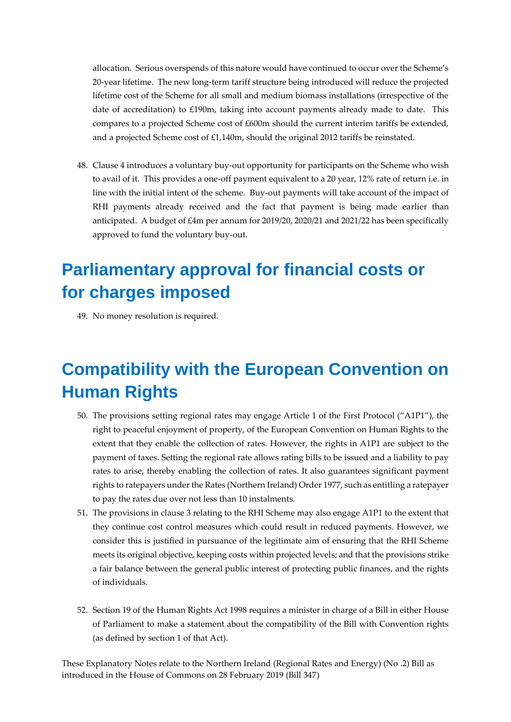allocation. Serious overspends of this nature would have continued to occur over the Scheme's 20-year lifetime. The new long-term tariff structure being introduced will reduce the projected lifetime cost of the Scheme for all small and medium biomass installations (irrespective of the date of accreditation) to £190m, taking into account payments already made to date. This compares to a projected Scheme cost of £600m should the current interim tariffs be extended, and a projected Scheme cost of £1,140m, should the original 2012 tariffs be reinstated.

48. Clause 4 introduces a voluntary buy-out opportunity for participants on the Scheme who wish to avail of it. This provides a one-off payment equivalent to a 20 year, 12% rate of return i.e. in line with the initial intent of the scheme. Buy-out payments will take account of the impact of RHI payments already received and the fact that payment is being made earlier than anticipated. A budget of £4m per annum for 2019/20, 2020/21 and 2021/22 has been specifically approved to fund the voluntary buy-out.

### <span id="page-10-0"></span>**Parliamentary approval for financial costs or for charges imposed**

49. No money resolution is required.

# <span id="page-10-1"></span>**Compatibility with the European Convention on Human Rights**

- 50. The provisions setting regional rates may engage Article 1 of the First Protocol ("A1P1"), the right to peaceful enjoyment of property, of the European Convention on Human Rights to the extent that they enable the collection of rates. However, the rights in A1P1 are subject to the payment of taxes. Setting the regional rate allows rating bills to be issued and a liability to pay rates to arise, thereby enabling the collection of rates. It also guarantees significant payment rights to ratepayers under the Rates (Northern Ireland) Order 1977, such as entitling a ratepayer to pay the rates due over not less than 10 instalments.
- 51. The provisions in clause 3 relating to the RHI Scheme may also engage A1P1 to the extent that they continue cost control measures which could result in reduced payments. However, we consider this is justified in pursuance of the legitimate aim of ensuring that the RHI Scheme meets its original objective, keeping costs within projected levels; and that the provisions strike a fair balance between the general public interest of protecting public finances, and the rights of individuals.
- 52. Section 19 of the Human Rights Act 1998 requires a minister in charge of a Bill in either House of Parliament to make a statement about the compatibility of the Bill with Convention rights (as defined by section 1 of that Act).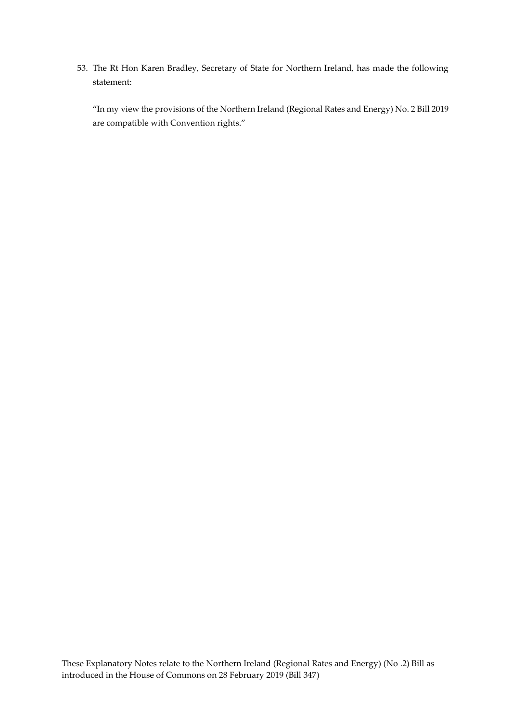53. The Rt Hon Karen Bradley, Secretary of State for Northern Ireland, has made the following statement:

<span id="page-11-0"></span>"In my view the provisions of the Northern Ireland (Regional Rates and Energy) No. 2 Bill 2019 are compatible with Convention rights."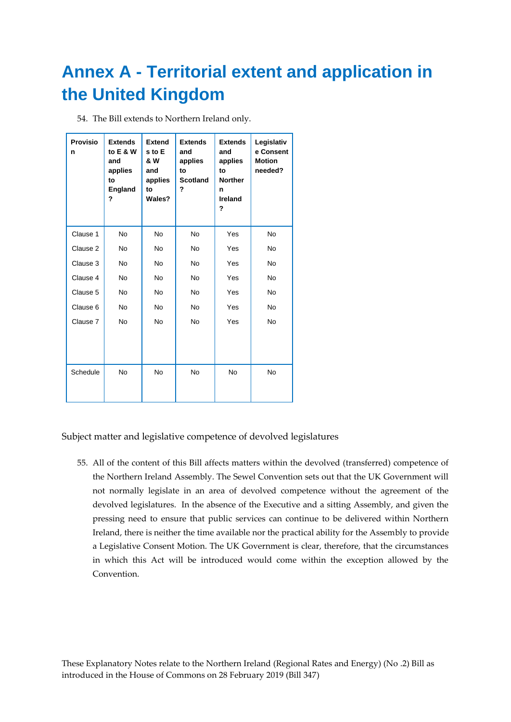# <span id="page-12-0"></span>**Annex A - Territorial extent and application in the United Kingdom**

| 54. The Bill extends to Northern Ireland only. |  |
|------------------------------------------------|--|
|------------------------------------------------|--|

| <b>Provisio</b><br>n | <b>Extends</b><br>to $E & W$<br>and<br>applies<br>to<br>England<br>? | <b>Extend</b><br>s to E<br>& W<br>and<br>applies<br>to<br>Wales? | <b>Extends</b><br>and<br>applies<br>to<br><b>Scotland</b><br>? | <b>Extends</b><br>and<br>applies<br>to<br><b>Norther</b><br>n<br>Ireland<br>? | Legislativ<br>e Consent<br><b>Motion</b><br>needed? |
|----------------------|----------------------------------------------------------------------|------------------------------------------------------------------|----------------------------------------------------------------|-------------------------------------------------------------------------------|-----------------------------------------------------|
| Clause 1             | <b>No</b>                                                            | No.                                                              | <b>No</b>                                                      | Yes                                                                           | <b>No</b>                                           |
| Clause 2             | <b>No</b>                                                            | No.                                                              | <b>No</b>                                                      | Yes                                                                           | <b>No</b>                                           |
| Clause 3             | <b>No</b>                                                            | No.                                                              | <b>No</b>                                                      | Yes                                                                           | <b>No</b>                                           |
| Clause 4             | <b>No</b>                                                            | No.                                                              | <b>No</b>                                                      | Yes                                                                           | <b>No</b>                                           |
| Clause 5             | <b>No</b>                                                            | No.                                                              | No.                                                            | Yes                                                                           | <b>No</b>                                           |
| Clause 6             | No.                                                                  | No.                                                              | No.                                                            | Yes                                                                           | <b>No</b>                                           |
| Clause 7             | No                                                                   | No.                                                              | No.                                                            | Yes                                                                           | <b>No</b>                                           |
| Schedule             | No                                                                   | <b>No</b>                                                        | <b>No</b>                                                      | <b>No</b>                                                                     | <b>No</b>                                           |

Subject matter and legislative competence of devolved legislatures

55. All of the content of this Bill affects matters within the devolved (transferred) competence of the Northern Ireland Assembly. The Sewel Convention sets out that the UK Government will not normally legislate in an area of devolved competence without the agreement of the devolved legislatures. In the absence of the Executive and a sitting Assembly, and given the pressing need to ensure that public services can continue to be delivered within Northern Ireland, there is neither the time available nor the practical ability for the Assembly to provide a Legislative Consent Motion. The UK Government is clear, therefore, that the circumstances in which this Act will be introduced would come within the exception allowed by the Convention.